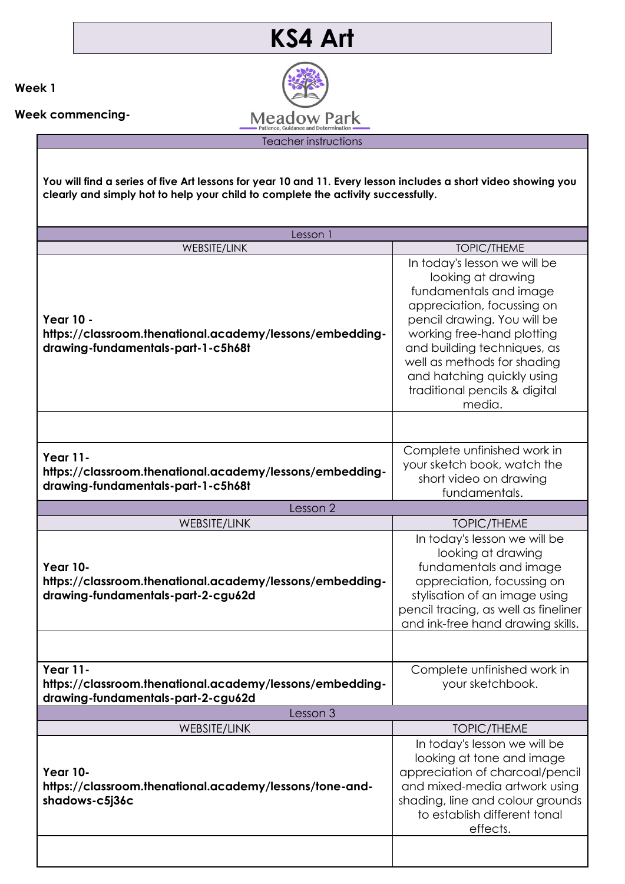

**Week 1**

**Week commencing-**

Teacher instructions

**You will find a series of five Art lessons for year 10 and 11. Every lesson includes a short video showing you clearly and simply hot to help your child to complete the activity successfully.** 

| Lesson 1                                                                                                           |                                                                                                                                                                                                                                                                                                                |  |
|--------------------------------------------------------------------------------------------------------------------|----------------------------------------------------------------------------------------------------------------------------------------------------------------------------------------------------------------------------------------------------------------------------------------------------------------|--|
| <b>WEBSITE/LINK</b>                                                                                                | <b>TOPIC/THEME</b>                                                                                                                                                                                                                                                                                             |  |
| <b>Year 10 -</b><br>https://classroom.thenational.academy/lessons/embedding-<br>drawing-fundamentals-part-1-c5h68t | In today's lesson we will be<br>looking at drawing<br>fundamentals and image<br>appreciation, focussing on<br>pencil drawing. You will be<br>working free-hand plotting<br>and building techniques, as<br>well as methods for shading<br>and hatching quickly using<br>traditional pencils & digital<br>media. |  |
|                                                                                                                    |                                                                                                                                                                                                                                                                                                                |  |
| <b>Year 11-</b><br>https://classroom.thenational.academy/lessons/embedding-<br>drawing-fundamentals-part-1-c5h68t  | Complete unfinished work in<br>your sketch book, watch the<br>short video on drawing<br>fundamentals.                                                                                                                                                                                                          |  |
| Lesson 2                                                                                                           |                                                                                                                                                                                                                                                                                                                |  |
| WEBSITE/LINK                                                                                                       | <b>TOPIC/THEME</b>                                                                                                                                                                                                                                                                                             |  |
| <b>Year 10-</b><br>https://classroom.thenational.academy/lessons/embedding-<br>drawing-fundamentals-part-2-cgu62d  | In today's lesson we will be<br>looking at drawing<br>fundamentals and image<br>appreciation, focussing on<br>stylisation of an image using<br>pencil tracing, as well as fineliner<br>and ink-free hand drawing skills.                                                                                       |  |
|                                                                                                                    |                                                                                                                                                                                                                                                                                                                |  |
| <b>Year 11-</b><br>https://classroom.thenational.academy/lessons/embedding-<br>drawing-fundamentals-part-2-cgu62d  | Complete unfinished work in<br>your sketchbook.                                                                                                                                                                                                                                                                |  |
| Lesson 3                                                                                                           |                                                                                                                                                                                                                                                                                                                |  |
| WEBSITE/LINK                                                                                                       | <b>TOPIC/THEME</b>                                                                                                                                                                                                                                                                                             |  |
| <b>Year 10-</b><br>https://classroom.thenational.academy/lessons/tone-and-<br>shadows-c5j36c                       | In today's lesson we will be<br>looking at tone and image<br>appreciation of charcoal/pencil<br>and mixed-media artwork using<br>shading, line and colour grounds<br>to establish different tonal<br>effects.                                                                                                  |  |
|                                                                                                                    |                                                                                                                                                                                                                                                                                                                |  |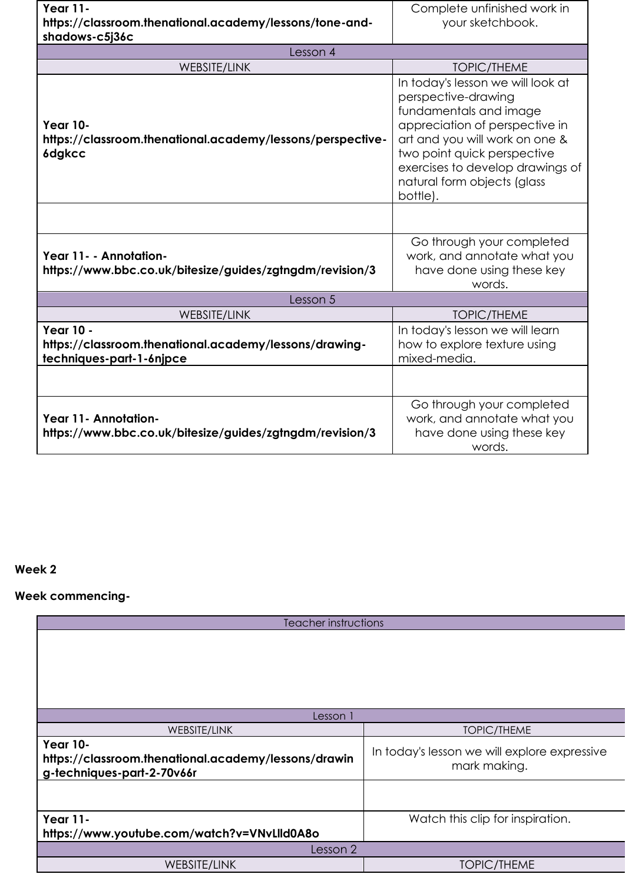| <b>Year 11-</b>                                                                                        | Complete unfinished work in                                                                                                                                                                                                                                          |  |  |
|--------------------------------------------------------------------------------------------------------|----------------------------------------------------------------------------------------------------------------------------------------------------------------------------------------------------------------------------------------------------------------------|--|--|
| https://classroom.thenational.academy/lessons/tone-and-                                                | your sketchbook.                                                                                                                                                                                                                                                     |  |  |
| shadows-c5j36c                                                                                         |                                                                                                                                                                                                                                                                      |  |  |
| Lesson 4                                                                                               |                                                                                                                                                                                                                                                                      |  |  |
| <b>WEBSITE/LINK</b>                                                                                    | <b>TOPIC/THEME</b>                                                                                                                                                                                                                                                   |  |  |
| <b>Year 10-</b><br>https://classroom.thenational.academy/lessons/perspective-<br>6dgkcc                | In today's lesson we will look at<br>perspective-drawing<br>fundamentals and image<br>appreciation of perspective in<br>art and you will work on one &<br>two point quick perspective<br>exercises to develop drawings of<br>natural form objects (glass<br>bottle). |  |  |
|                                                                                                        |                                                                                                                                                                                                                                                                      |  |  |
| Year 11 - - Annotation-<br>https://www.bbc.co.uk/bitesize/guides/zgtngdm/revision/3                    | Go through your completed<br>work, and annotate what you<br>have done using these key<br>words.                                                                                                                                                                      |  |  |
| Lesson 5                                                                                               |                                                                                                                                                                                                                                                                      |  |  |
| <b>WEBSITE/LINK</b>                                                                                    | <b>TOPIC/THEME</b>                                                                                                                                                                                                                                                   |  |  |
| <b>Year 10 -</b><br>https://classroom.thenational.academy/lessons/drawing-<br>techniques-part-1-6njpce | In today's lesson we will learn<br>how to explore texture using<br>mixed-media.                                                                                                                                                                                      |  |  |
|                                                                                                        |                                                                                                                                                                                                                                                                      |  |  |
| Year 11- Annotation-<br>https://www.bbc.co.uk/bitesize/guides/zgtngdm/revision/3                       | Go through your completed<br>work, and annotate what you<br>have done using these key<br>words.                                                                                                                                                                      |  |  |

## **Week 2**

## **Week commencing-**

| Teacher instructions                                                                                  |                                                              |  |
|-------------------------------------------------------------------------------------------------------|--------------------------------------------------------------|--|
|                                                                                                       |                                                              |  |
| Lesson 1                                                                                              |                                                              |  |
| <b>WEBSITE/LINK</b>                                                                                   | <b>TOPIC/THEME</b>                                           |  |
| <b>Year 10-</b><br>https://classroom.thenational.academy/lessons/drawin<br>g-techniques-part-2-70v66r | In today's lesson we will explore expressive<br>mark making. |  |
|                                                                                                       |                                                              |  |
| <b>Year 11-</b><br>https://www.youtube.com/watch?v=VNvLlld0A8o                                        | Watch this clip for inspiration.                             |  |
| Lesson 2                                                                                              |                                                              |  |
| WEBSITE/LINK                                                                                          | <b>TOPIC/THEME</b>                                           |  |